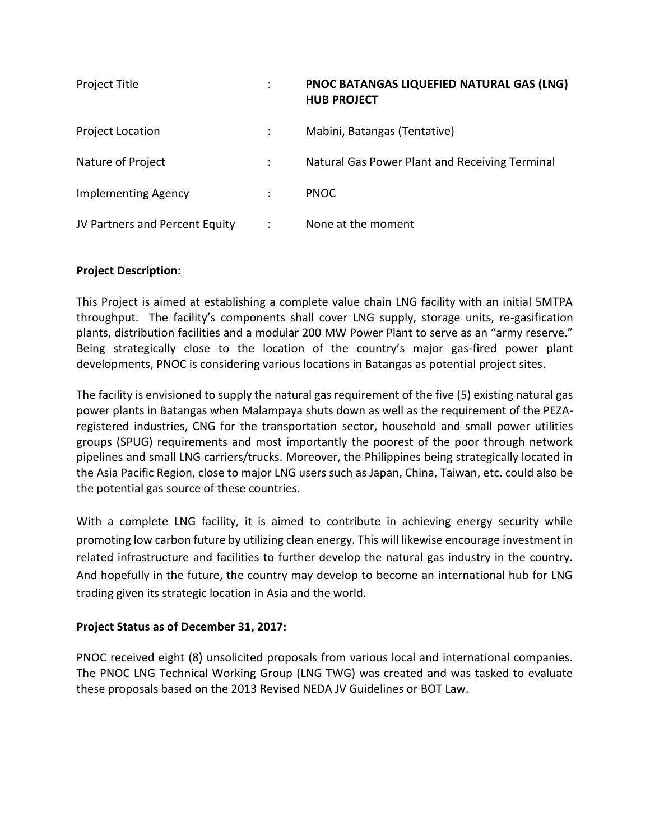| Project Title                  | PNOC BATANGAS LIQUEFIED NATURAL GAS (LNG)<br><b>HUB PROJECT</b> |
|--------------------------------|-----------------------------------------------------------------|
| <b>Project Location</b>        | Mabini, Batangas (Tentative)                                    |
| Nature of Project              | Natural Gas Power Plant and Receiving Terminal                  |
| <b>Implementing Agency</b>     | <b>PNOC</b>                                                     |
| JV Partners and Percent Equity | None at the moment                                              |

## **Project Description:**

This Project is aimed at establishing a complete value chain LNG facility with an initial 5MTPA throughput. The facility's components shall cover LNG supply, storage units, re-gasification plants, distribution facilities and a modular 200 MW Power Plant to serve as an "army reserve." Being strategically close to the location of the country's major gas-fired power plant developments, PNOC is considering various locations in Batangas as potential project sites.

The facility is envisioned to supply the natural gas requirement of the five (5) existing natural gas power plants in Batangas when Malampaya shuts down as well as the requirement of the PEZAregistered industries, CNG for the transportation sector, household and small power utilities groups (SPUG) requirements and most importantly the poorest of the poor through network pipelines and small LNG carriers/trucks. Moreover, the Philippines being strategically located in the Asia Pacific Region, close to major LNG users such as Japan, China, Taiwan, etc. could also be the potential gas source of these countries.

With a complete LNG facility, it is aimed to contribute in achieving energy security while promoting low carbon future by utilizing clean energy. This will likewise encourage investment in related infrastructure and facilities to further develop the natural gas industry in the country. And hopefully in the future, the country may develop to become an international hub for LNG trading given its strategic location in Asia and the world.

## **Project Status as of December 31, 2017:**

PNOC received eight (8) unsolicited proposals from various local and international companies. The PNOC LNG Technical Working Group (LNG TWG) was created and was tasked to evaluate these proposals based on the 2013 Revised NEDA JV Guidelines or BOT Law.